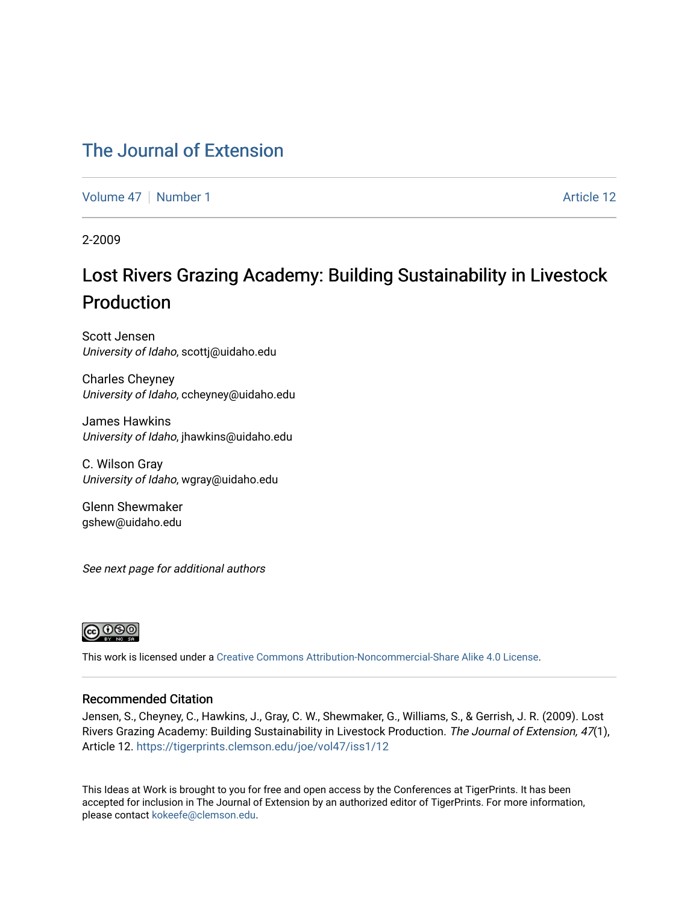## [The Journal of Extension](https://tigerprints.clemson.edu/joe)

[Volume 47](https://tigerprints.clemson.edu/joe/vol47) | [Number 1](https://tigerprints.clemson.edu/joe/vol47/iss1) Article 12

2-2009

# Lost Rivers Grazing Academy: Building Sustainability in Livestock Production

Scott Jensen University of Idaho, scottj@uidaho.edu

Charles Cheyney University of Idaho, ccheyney@uidaho.edu

James Hawkins University of Idaho, jhawkins@uidaho.edu

C. Wilson Gray University of Idaho, wgray@uidaho.edu

Glenn Shewmaker gshew@uidaho.edu

See next page for additional authors



This work is licensed under a [Creative Commons Attribution-Noncommercial-Share Alike 4.0 License.](https://creativecommons.org/licenses/by-nc-sa/4.0/)

#### Recommended Citation

Jensen, S., Cheyney, C., Hawkins, J., Gray, C. W., Shewmaker, G., Williams, S., & Gerrish, J. R. (2009). Lost Rivers Grazing Academy: Building Sustainability in Livestock Production. The Journal of Extension, 47(1), Article 12. <https://tigerprints.clemson.edu/joe/vol47/iss1/12>

This Ideas at Work is brought to you for free and open access by the Conferences at TigerPrints. It has been accepted for inclusion in The Journal of Extension by an authorized editor of TigerPrints. For more information, please contact [kokeefe@clemson.edu](mailto:kokeefe@clemson.edu).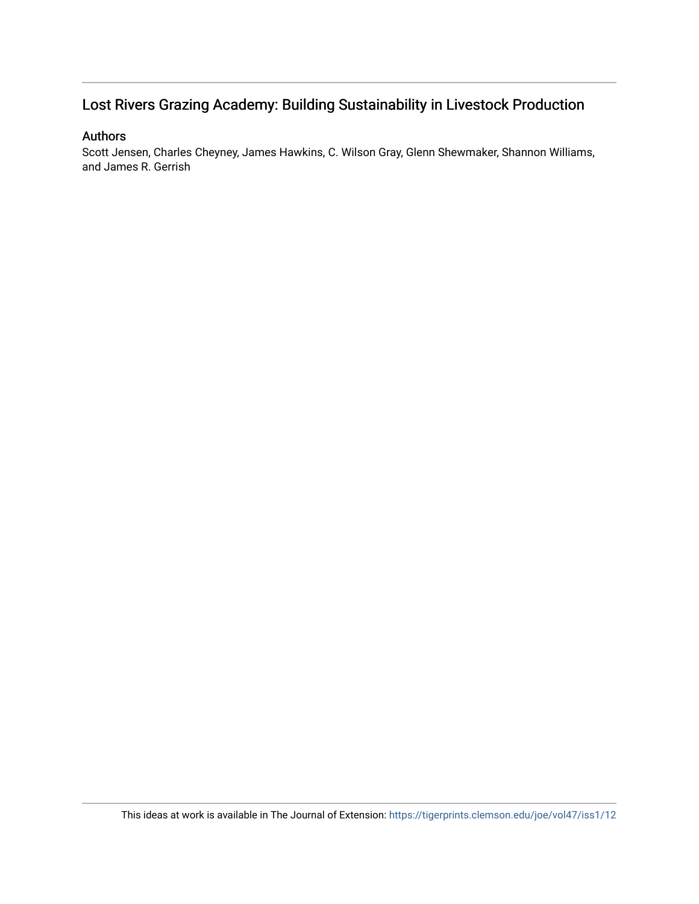## Lost Rivers Grazing Academy: Building Sustainability in Livestock Production

## Authors

Scott Jensen, Charles Cheyney, James Hawkins, C. Wilson Gray, Glenn Shewmaker, Shannon Williams, and James R. Gerrish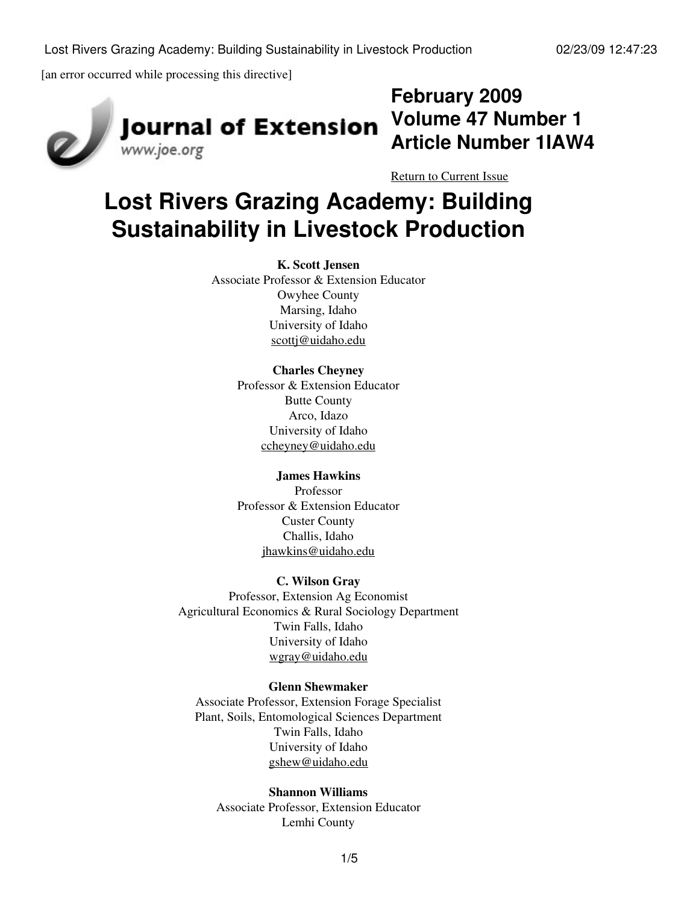[an error occurred while processing this directive]



# **Journal of Extension** www.joe.org

[Return to Current Issue](http://www.joe.org:80/joe/2009february/)

**February 2009**

**Volume 47 Number 1**

**Article Number 1IAW4**

# **Lost Rivers Grazing Academy: Building Sustainability in Livestock Production**

## **K. Scott Jensen** Associate Professor & Extension Educator Owyhee County Marsing, Idaho University of Idaho [scottj@uidaho.edu](mailto:scottj@uidaho.edu)

## **Charles Cheyney**

Professor & Extension Educator Butte County Arco, Idazo University of Idaho [ccheyney@uidaho.edu](mailto:ccheyney@uidaho.edu)

### **James Hawkins**

Professor Professor & Extension Educator Custer County Challis, Idaho [jhawkins@uidaho.edu](mailto:jhawkins@uidaho.edu)

#### **C. Wilson Gray**

Professor, Extension Ag Economist Agricultural Economics & Rural Sociology Department Twin Falls, Idaho University of Idaho [wgray@uidaho.edu](mailto:wgray@uidaho.edu)

### **Glenn Shewmaker**

Associate Professor, Extension Forage Specialist Plant, Soils, Entomological Sciences Department Twin Falls, Idaho University of Idaho [gshew@uidaho.edu](mailto:gshew@uidaho.edu)

#### **Shannon Williams**

Associate Professor, Extension Educator Lemhi County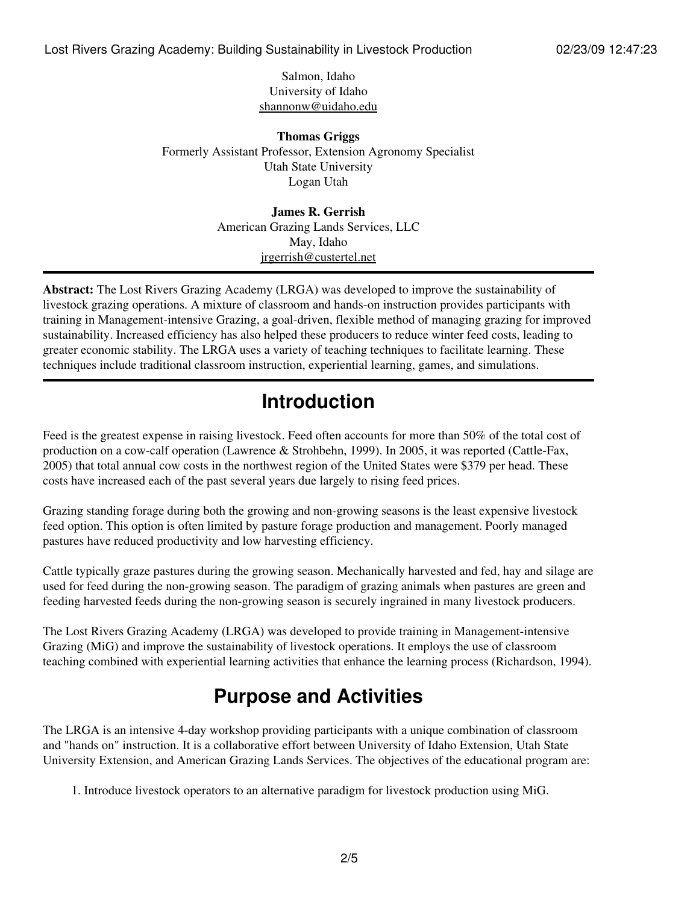Salmon, Idaho University of Idaho [shannonw@uidaho.edu](mailto:shannonw@uidaho.edu)

**Thomas Griggs** Formerly Assistant Professor, Extension Agronomy Specialist Utah State University Logan Utah

> **James R. Gerrish** American Grazing Lands Services, LLC May, Idaho [jrgerrish@custertel.net](mailto:jrgerrish@custertel.net)

**Abstract:** The Lost Rivers Grazing Academy (LRGA) was developed to improve the sustainability of livestock grazing operations. A mixture of classroom and hands-on instruction provides participants with training in Management-intensive Grazing, a goal-driven, flexible method of managing grazing for improved sustainability. Increased efficiency has also helped these producers to reduce winter feed costs, leading to greater economic stability. The LRGA uses a variety of teaching techniques to facilitate learning. These techniques include traditional classroom instruction, experiential learning, games, and simulations.

# **Introduction**

Feed is the greatest expense in raising livestock. Feed often accounts for more than 50% of the total cost of production on a cow-calf operation (Lawrence & Strohbehn, 1999). In 2005, it was reported (Cattle-Fax, 2005) that total annual cow costs in the northwest region of the United States were \$379 per head. These costs have increased each of the past several years due largely to rising feed prices.

Grazing standing forage during both the growing and non-growing seasons is the least expensive livestock feed option. This option is often limited by pasture forage production and management. Poorly managed pastures have reduced productivity and low harvesting efficiency.

Cattle typically graze pastures during the growing season. Mechanically harvested and fed, hay and silage are used for feed during the non-growing season. The paradigm of grazing animals when pastures are green and feeding harvested feeds during the non-growing season is securely ingrained in many livestock producers.

The Lost Rivers Grazing Academy (LRGA) was developed to provide training in Management-intensive Grazing (MiG) and improve the sustainability of livestock operations. It employs the use of classroom teaching combined with experiential learning activities that enhance the learning process (Richardson, 1994).

# **Purpose and Activities**

The LRGA is an intensive 4-day workshop providing participants with a unique combination of classroom and "hands on" instruction. It is a collaborative effort between University of Idaho Extension, Utah State University Extension, and American Grazing Lands Services. The objectives of the educational program are:

1. Introduce livestock operators to an alternative paradigm for livestock production using MiG.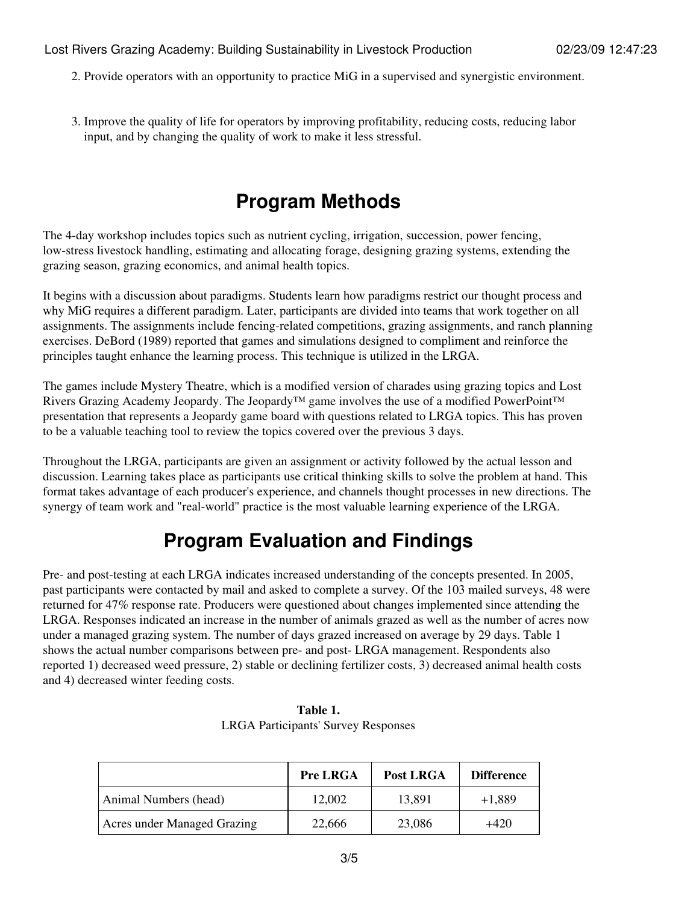- 2. Provide operators with an opportunity to practice MiG in a supervised and synergistic environment.
- 3. Improve the quality of life for operators by improving profitability, reducing costs, reducing labor input, and by changing the quality of work to make it less stressful.

## **Program Methods**

The 4-day workshop includes topics such as nutrient cycling, irrigation, succession, power fencing, low-stress livestock handling, estimating and allocating forage, designing grazing systems, extending the grazing season, grazing economics, and animal health topics.

It begins with a discussion about paradigms. Students learn how paradigms restrict our thought process and why MiG requires a different paradigm. Later, participants are divided into teams that work together on all assignments. The assignments include fencing-related competitions, grazing assignments, and ranch planning exercises. DeBord (1989) reported that games and simulations designed to compliment and reinforce the principles taught enhance the learning process. This technique is utilized in the LRGA.

The games include Mystery Theatre, which is a modified version of charades using grazing topics and Lost Rivers Grazing Academy Jeopardy. The Jeopardy™ game involves the use of a modified PowerPoint™ presentation that represents a Jeopardy game board with questions related to LRGA topics. This has proven to be a valuable teaching tool to review the topics covered over the previous 3 days.

Throughout the LRGA, participants are given an assignment or activity followed by the actual lesson and discussion. Learning takes place as participants use critical thinking skills to solve the problem at hand. This format takes advantage of each producer's experience, and channels thought processes in new directions. The synergy of team work and "real-world" practice is the most valuable learning experience of the LRGA.

# **Program Evaluation and Findings**

Pre- and post-testing at each LRGA indicates increased understanding of the concepts presented. In 2005, past participants were contacted by mail and asked to complete a survey. Of the 103 mailed surveys, 48 were returned for 47% response rate. Producers were questioned about changes implemented since attending the LRGA. Responses indicated an increase in the number of animals grazed as well as the number of acres now under a managed grazing system. The number of days grazed increased on average by 29 days. Table 1 shows the actual number comparisons between pre- and post- LRGA management. Respondents also reported 1) decreased weed pressure, 2) stable or declining fertilizer costs, 3) decreased animal health costs and 4) decreased winter feeding costs.

|                                    | <b>Pre LRGA</b> | <b>Post LRGA</b> | <b>Difference</b> |
|------------------------------------|-----------------|------------------|-------------------|
| Animal Numbers (head)              | 12,002          | 13,891           | $+1,889$          |
| <b>Acres under Managed Grazing</b> | 22,666          | 23,086           | +420              |

| Table 1.                                   |  |  |  |  |  |
|--------------------------------------------|--|--|--|--|--|
| <b>LRGA Participants' Survey Responses</b> |  |  |  |  |  |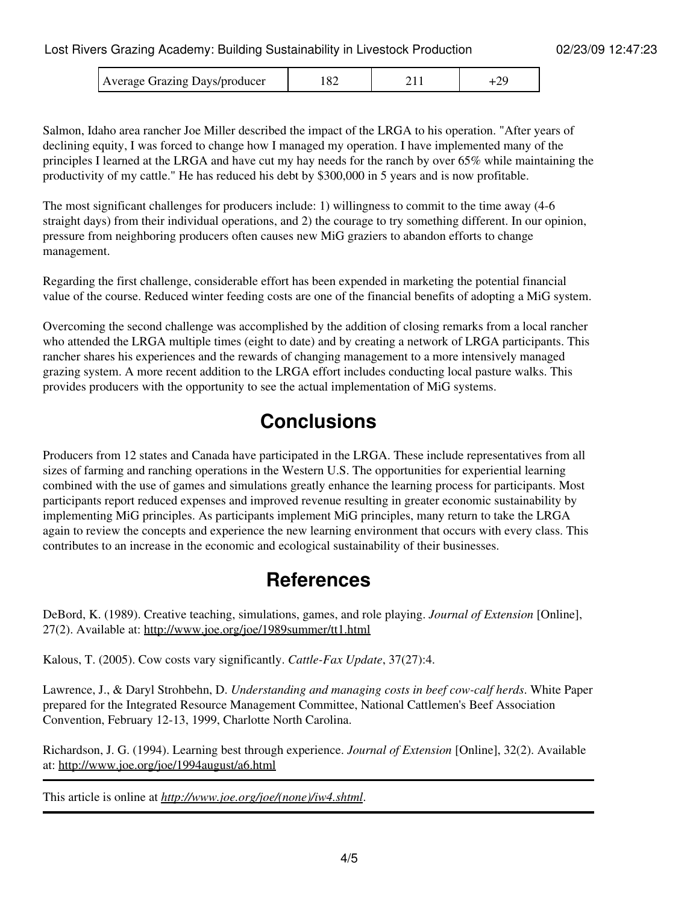| Average Grazing Days/producer |  |  |  |
|-------------------------------|--|--|--|
|-------------------------------|--|--|--|

Salmon, Idaho area rancher Joe Miller described the impact of the LRGA to his operation. "After years of declining equity, I was forced to change how I managed my operation. I have implemented many of the principles I learned at the LRGA and have cut my hay needs for the ranch by over 65% while maintaining the productivity of my cattle." He has reduced his debt by \$300,000 in 5 years and is now profitable.

The most significant challenges for producers include: 1) willingness to commit to the time away (4-6 straight days) from their individual operations, and 2) the courage to try something different. In our opinion, pressure from neighboring producers often causes new MiG graziers to abandon efforts to change management.

Regarding the first challenge, considerable effort has been expended in marketing the potential financial value of the course. Reduced winter feeding costs are one of the financial benefits of adopting a MiG system.

Overcoming the second challenge was accomplished by the addition of closing remarks from a local rancher who attended the LRGA multiple times (eight to date) and by creating a network of LRGA participants. This rancher shares his experiences and the rewards of changing management to a more intensively managed grazing system. A more recent addition to the LRGA effort includes conducting local pasture walks. This provides producers with the opportunity to see the actual implementation of MiG systems.

# **Conclusions**

Producers from 12 states and Canada have participated in the LRGA. These include representatives from all sizes of farming and ranching operations in the Western U.S. The opportunities for experiential learning combined with the use of games and simulations greatly enhance the learning process for participants. Most participants report reduced expenses and improved revenue resulting in greater economic sustainability by implementing MiG principles. As participants implement MiG principles, many return to take the LRGA again to review the concepts and experience the new learning environment that occurs with every class. This contributes to an increase in the economic and ecological sustainability of their businesses.

# **References**

DeBord, K. (1989). Creative teaching, simulations, games, and role playing. *Journal of Extension* [Online], 27(2). Available at:<http://www.joe.org/joe/1989summer/tt1.html>

Kalous, T. (2005). Cow costs vary significantly. *Cattle-Fax Update*, 37(27):4.

Lawrence, J., & Daryl Strohbehn, D. *Understanding and managing costs in beef cow-calf herds*. White Paper prepared for the Integrated Resource Management Committee, National Cattlemen's Beef Association Convention, February 12-13, 1999, Charlotte North Carolina.

Richardson, J. G. (1994). Learning best through experience. *Journal of Extension* [Online], 32(2). Available at:<http://www.joe.org/joe/1994august/a6.html>

This article is online at *[http://www.joe.org/joe/\(none\)/iw4.shtml](http://www.joe.org/joe/(none)/iw4.shtml)*.